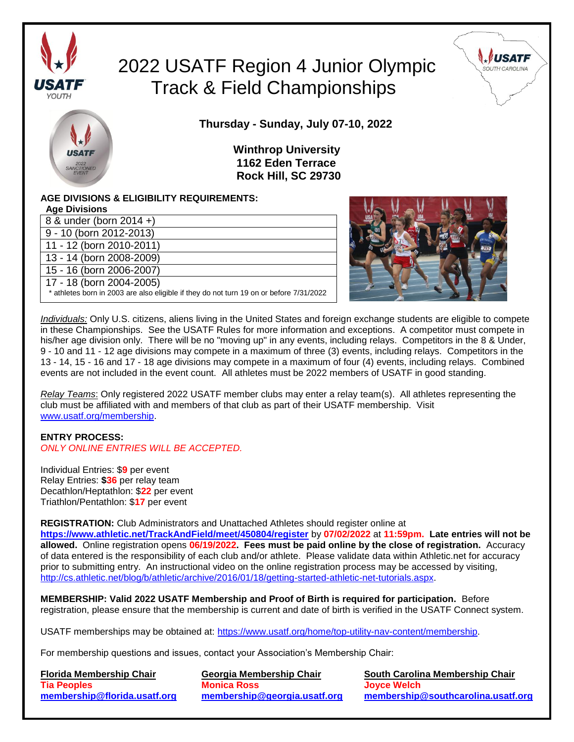

# 2022 USATF Region 4 Junior Olympic Track & Field Championships





 **Thursday - Sunday, July 07-10, 2022**

 **Winthrop University 1162 Eden Terrace Rock Hill, SC 29730**

# **AGE DIVISIONS & ELIGIBILITY REQUIREMENTS: Age Divisions**

| 8 & under (born 2014 +)                                                                                             |
|---------------------------------------------------------------------------------------------------------------------|
| 9 - 10 (born 2012-2013)                                                                                             |
| 11 - 12 (born 2010-2011)                                                                                            |
| 13 - 14 (born 2008-2009)                                                                                            |
| 15 - 16 (born 2006-2007)                                                                                            |
| 17 - 18 (born 2004-2005)<br>* athletes born in 2003 are also eligible if they do not turn 19 on or before 7/31/2022 |



*Individuals:* Only U.S. citizens, aliens living in the United States and foreign exchange students are eligible to compete in these Championships. See the USATF Rules for more information and exceptions. A competitor must compete in his/her age division only. There will be no "moving up" in any events, including relays. Competitors in the 8 & Under, 9 - 10 and 11 - 12 age divisions may compete in a maximum of three (3) events, including relays. Competitors in the 13 - 14, 15 - 16 and 17 - 18 age divisions may compete in a maximum of four (4) events, including relays. Combined events are not included in the event count. All athletes must be 2022 members of USATF in good standing.

*Relay Teams*: Only registered 2022 USATF member clubs may enter a relay team(s). All athletes representing the club must be affiliated with and members of that club as part of their USATF membership. Visit [www.usatf.org/membership.](http://www.usatf.org/membership)

## **ENTRY PROCESS:**  *ONLY ONLINE ENTRIES WILL BE ACCEPTED.*

Individual Entries: \$**9** per event Relay Entries: **\$36** per relay team Decathlon/Heptathlon: \$**22** per event Triathlon/Pentathlon: \$**17** per event

**REGISTRATION:** Club Administrators and Unattached Athletes should register online at

**<https://www.athletic.net/TrackAndField/meet/450804/register>** by **07/02/2022** at **11:59pm. Late entries will not be allowed.** Online registration opens **06/19/2022. Fees must be paid online by the close of registration.** Accuracy of data entered is the responsibility of each club and/or athlete. Please validate data within Athletic.net for accuracy prior to submitting entry. An instructional video on the online registration process may be accessed by visiting, [http://cs.athletic.net/blog/b/athletic/archive/2016/01/18/getting-started-athletic-net-tutorials.aspx.](http://cs.athletic.net/blog/b/athletic/archive/2016/01/18/getting-started-athletic-net-tutorials.aspx)

**MEMBERSHIP: Valid 2022 USATF Membership and Proof of Birth is required for participation.** Before registration, please ensure that the membership is current and date of birth is verified in the USATF Connect system.

USATF memberships may be obtained at: [https://www.usatf.org/home/top-utility-nav-content/membership.](https://www.usatf.org/home/top-utility-nav-content/membership)

For membership questions and issues, contact your Association's Membership Chair:

| <b>Florida Membership Chair</b> | Georgia Membership Chair     | South Carolina Membership Chair    |
|---------------------------------|------------------------------|------------------------------------|
| <b>Tia Peoples</b>              | <b>Monica Ross</b>           | <b>Jovce Welch</b>                 |
| membership@florida.usatf.org    | membership@georgia.usatf.org | membership@southcarolina.usatf.org |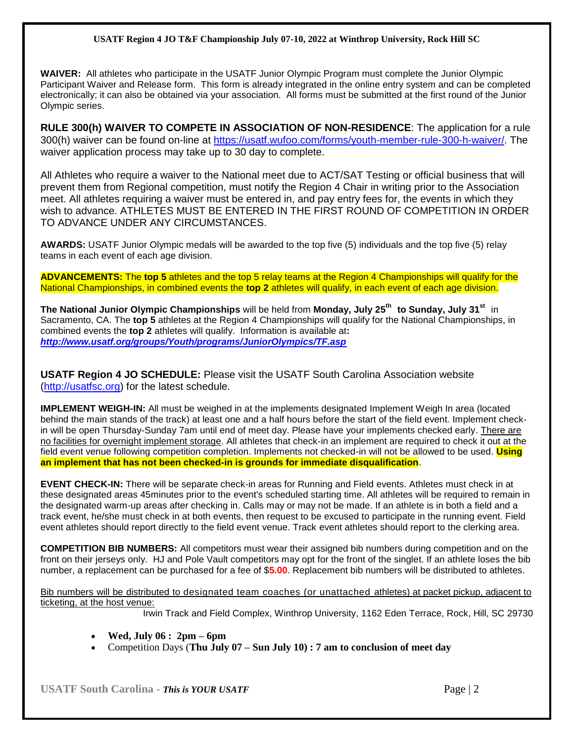**WAIVER:** All athletes who participate in the USATF Junior Olympic Program must complete the Junior Olympic Participant Waiver and Release form. This form is already integrated in the online entry system and can be completed electronically; it can also be obtained via your association. All forms must be submitted at the first round of the Junior Olympic series.

**RULE 300(h) WAIVER TO COMPETE IN ASSOCIATION OF NON-RESIDENCE**: The application for a rule 300(h) waiver can be found on-line at [https://usatf.wufoo.com/forms/youth-member-rule-300-h-waiver/.](https://usatf.wufoo.com/forms/youth-member-rule-300-h-waiver/) The waiver application process may take up to 30 day to complete.

All Athletes who require a waiver to the National meet due to ACT/SAT Testing or official business that will prevent them from Regional competition, must notify the Region 4 Chair in writing prior to the Association meet. All athletes requiring a waiver must be entered in, and pay entry fees for, the events in which they wish to advance. ATHLETES MUST BE ENTERED IN THE FIRST ROUND OF COMPETITION IN ORDER TO ADVANCE UNDER ANY CIRCUMSTANCES.

**AWARDS:** USATF Junior Olympic medals will be awarded to the top five (5) individuals and the top five (5) relay teams in each event of each age division.

**ADVANCEMENTS:** The **top 5** athletes and the top 5 relay teams at the Region 4 Championships will qualify for the National Championships, in combined events the **top 2** athletes will qualify, in each event of each age division.

**The National Junior Olympic Championships** will be held from **Monday, July 25 th to Sunday, July 31st** in Sacramento, CA. The **top 5** athletes at the Region 4 Championships will qualify for the National Championships, in combined events the **top 2** athletes will qualify. Information is available at**:** *<http://www.usatf.org/groups/Youth/programs/JuniorOlympics/TF.asp>*

**USATF Region 4 JO SCHEDULE:** Please visit the USATF South Carolina Association website [\(http://usatfsc.org\)](http://usatfsc.org/) for the latest schedule.

**IMPLEMENT WEIGH-IN:** All must be weighed in at the implements designated Implement Weigh In area (located behind the main stands of the track) at least one and a half hours before the start of the field event. Implement checkin will be open Thursday-Sunday 7am until end of meet day. Please have your implements checked early. There are no facilities for overnight implement storage. All athletes that check-in an implement are required to check it out at the field event venue following competition completion. Implements not checked-in will not be allowed to be used. **Using an implement that has not been checked-in is grounds for immediate disqualification**.

**EVENT CHECK-IN:** There will be separate check-in areas for Running and Field events. Athletes must check in at these designated areas 45minutes prior to the event's scheduled starting time. All athletes will be required to remain in the designated warm-up areas after checking in. Calls may or may not be made. If an athlete is in both a field and a track event, he/she must check in at both events, then request to be excused to participate in the running event. Field event athletes should report directly to the field event venue. Track event athletes should report to the clerking area.

**COMPETITION BIB NUMBERS:** All competitors must wear their assigned bib numbers during competition and on the front on their jerseys only. HJ and Pole Vault competitors may opt for the front of the singlet. If an athlete loses the bib number, a replacement can be purchased for a fee of \$**5.00**. Replacement bib numbers will be distributed to athletes.

Bib numbers will be distributed to designated team coaches (or unattached athletes) at packet pickup, adjacent to ticketing, at the host venue:

Irwin Track and Field Complex, Winthrop University, 1162 Eden Terrace, Rock, Hill, SC 29730

- **Wed, July 06 : 2pm – 6pm**
- Competition Days (**Thu July 07 – Sun July 10) : 7 am to conclusion of meet day**

USATF South Carolina - *This is YOUR USATF* Page | 2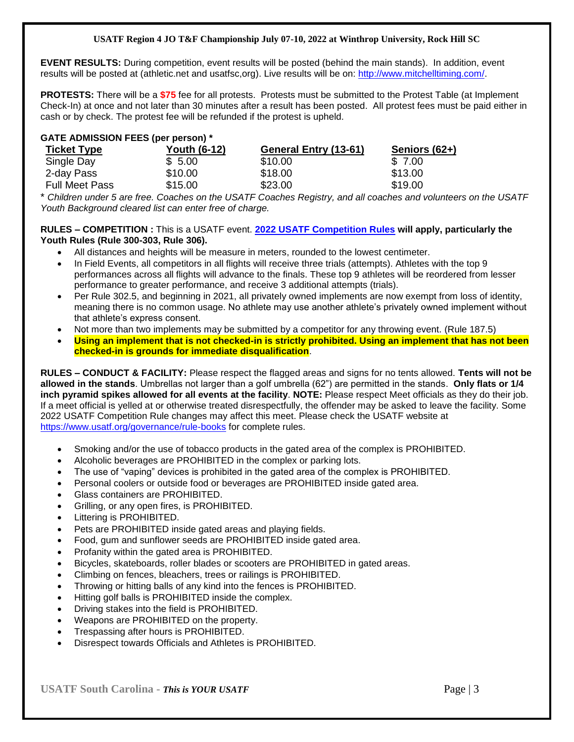**EVENT RESULTS:** During competition, event results will be posted (behind the main stands). In addition, event results will be posted at (athletic.net and usatfsc,org). Live results will be on: [http://www.mitchelltiming.com/.](http://www.mitchelltiming.com/)

**PROTESTS:** There will be a **\$75** fee for all protests. Protests must be submitted to the Protest Table (at Implement Check-In) at once and not later than 30 minutes after a result has been posted. All protest fees must be paid either in cash or by check. The protest fee will be refunded if the protest is upheld.

| GATE ADMISSION FEES (DET DETSON) |                              |               |  |  |
|----------------------------------|------------------------------|---------------|--|--|
| <b>Youth (6-12)</b>              | <b>General Entry (13-61)</b> | Seniors (62+) |  |  |
| \$5.00                           | \$10.00                      | \$ 7.00       |  |  |
| \$10.00                          | \$18.00                      | \$13.00       |  |  |
| \$15.00                          | \$23.00                      | \$19.00       |  |  |
|                                  |                              |               |  |  |

\* *Children under 5 are free. Coaches on the USATF Coaches Registry, and all coaches and volunteers on the USATF Youth Background cleared list can enter free of charge.*

**RULES – COMPETITION :** This is a USATF event. **[2022 USATF Competition Rules](https://www.usatf.org/governance/rule-books) will apply, particularly the Youth Rules (Rule 300-303, Rule 306).**

- All distances and heights will be measure in meters, rounded to the lowest centimeter.
- In Field Events, all competitors in all flights will receive three trials (attempts). Athletes with the top 9 performances across all flights will advance to the finals. These top 9 athletes will be reordered from lesser performance to greater performance, and receive 3 additional attempts (trials).
- Per Rule 302.5, and beginning in 2021, all privately owned implements are now exempt from loss of identity, meaning there is no common usage. No athlete may use another athlete's privately owned implement without that athlete's express consent.
- Not more than two implements may be submitted by a competitor for any throwing event. (Rule 187.5)
- **Using an implement that is not checked-in is strictly prohibited. Using an implement that has not been checked-in is grounds for immediate disqualification**.

**RULES – CONDUCT & FACILITY:** Please respect the flagged areas and signs for no tents allowed. **Tents will not be allowed in the stands**. Umbrellas not larger than a golf umbrella (62") are permitted in the stands. **Only flats or 1/4 inch pyramid spikes allowed for all events at the facility**. **NOTE:** Please respect Meet officials as they do their job. If a meet official is yelled at or otherwise treated disrespectfully, the offender may be asked to leave the facility. Some 2022 USATF Competition Rule changes may affect this meet. Please check the USATF website at <https://www.usatf.org/governance/rule-books> for complete rules.

- Smoking and/or the use of tobacco products in the gated area of the complex is PROHIBITED.
- Alcoholic beverages are PROHIBITED in the complex or parking lots.
- The use of "vaping" devices is prohibited in the gated area of the complex is PROHIBITED.
- Personal coolers or outside food or beverages are PROHIBITED inside gated area.
- Glass containers are PROHIBITED.

**GATE ADMISSION FEES (per person) \***

- Grilling, or any open fires, is PROHIBITED.
- Littering is PROHIBITED.
- Pets are PROHIBITED inside gated areas and playing fields.
- Food, gum and sunflower seeds are PROHIBITED inside gated area.
- Profanity within the gated area is PROHIBITED.
- Bicycles, skateboards, roller blades or scooters are PROHIBITED in gated areas.
- Climbing on fences, bleachers, trees or railings is PROHIBITED.
- Throwing or hitting balls of any kind into the fences is PROHIBITED.
- Hitting golf balls is PROHIBITED inside the complex.
- Driving stakes into the field is PROHIBITED.
- Weapons are PROHIBITED on the property.
- Trespassing after hours is PROHIBITED.
- Disrespect towards Officials and Athletes is PROHIBITED.

USATF South Carolina - *This is YOUR USATF* Page | 3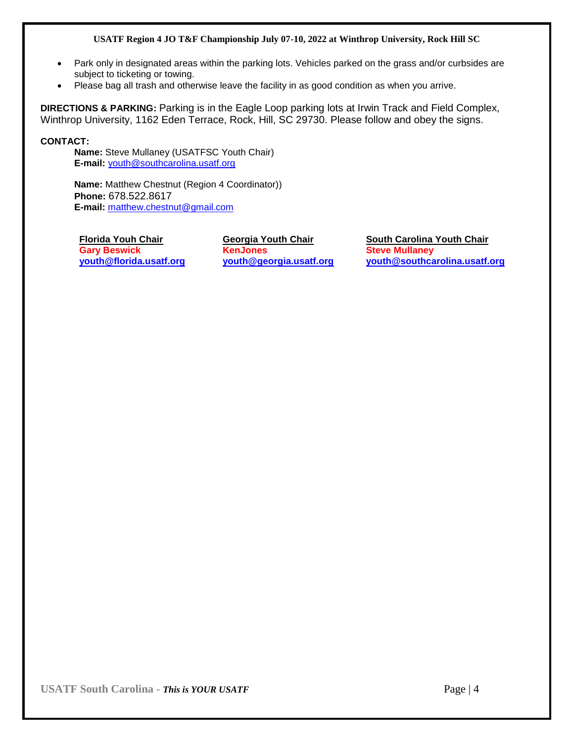- Park only in designated areas within the parking lots. Vehicles parked on the grass and/or curbsides are subject to ticketing or towing.
- Please bag all trash and otherwise leave the facility in as good condition as when you arrive.

**DIRECTIONS & PARKING:** Parking is in the Eagle Loop parking lots at Irwin Track and Field Complex, Winthrop University, 1162 Eden Terrace, Rock, Hill, SC 29730. Please follow and obey the signs.

#### **CONTACT:**

**Name:** Steve Mullaney (USATFSC Youth Chair) **E-mail:** [youth@southcarolina.usatf.org](mailto:youth@southcarolina.usatf.org)

**Name:** Matthew Chestnut (Region 4 Coordinator)) **Phone:** 678.522.8617 **E-mail:** [matthew.chestnut@gmail.com](mailto:matthew.chestnut@gmail.com)

**Gary Beswick [youth@florida.usatf.org](mailto:youth@florida.usatf.org)** **KenJones [youth@georgia.usatf.org](mailto:youth@georgia.usatf.org)**

**Florida Youh Chair Georgia Youth Chair South Carolina Youth Chair Steve Mullaney [youth@southcarolina.usatf.org](mailto:youth@southcarolina.usatf.org)**